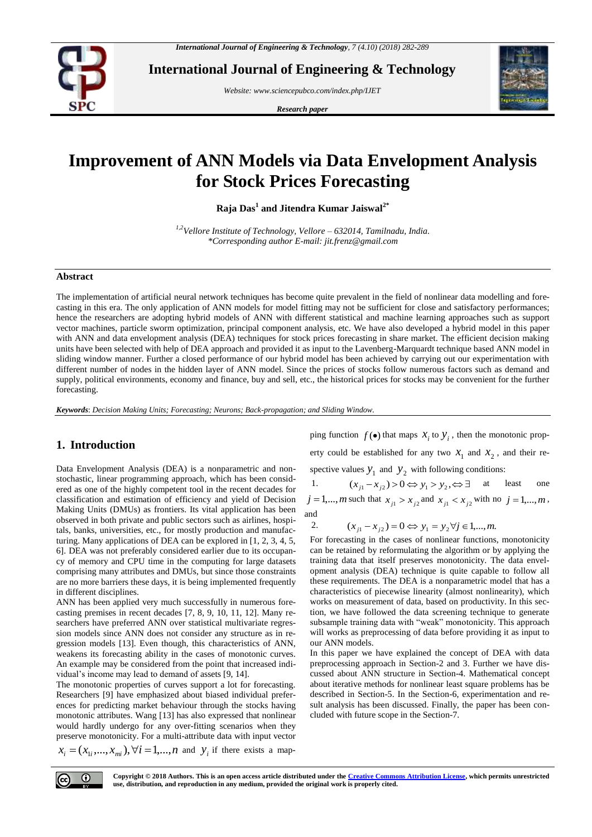

**International Journal of Engineering & Technology**

*Website: www.sciencepubco.com/index.php/IJET* 

*Research paper*



# **Improvement of ANN Models via Data Envelopment Analysis for Stock Prices Forecasting**

**Raja Das<sup>1</sup> and Jitendra Kumar Jaiswal2\***

*1,2Vellore Institute of Technology, Vellore – 632014, Tamilnadu, India. \*Corresponding author E-mail: jit.frenz@gmail.com*

### **Abstract**

The implementation of artificial neural network techniques has become quite prevalent in the field of nonlinear data modelling and forecasting in this era. The only application of ANN models for model fitting may not be sufficient for close and satisfactory performances; hence the researchers are adopting hybrid models of ANN with different statistical and machine learning approaches such as support vector machines, particle sworm optimization, principal component analysis, etc. We have also developed a hybrid model in this paper with ANN and data envelopment analysis (DEA) techniques for stock prices forecasting in share market. The efficient decision making units have been selected with help of DEA approach and provided it as input to the Lavenberg-Marquardt technique based ANN model in sliding window manner. Further a closed performance of our hybrid model has been achieved by carrying out our experimentation with different number of nodes in the hidden layer of ANN model. Since the prices of stocks follow numerous factors such as demand and supply, political environments, economy and finance, buy and sell, etc., the historical prices for stocks may be convenient for the further forecasting.

*Keywords*: *Decision Making Units; Forecasting; Neurons; Back-propagation; and Sliding Window.*

# **1. Introduction**

Data Envelopment Analysis (DEA) is a nonparametric and nonstochastic, linear programming approach, which has been considered as one of the highly competent tool in the recent decades for classification and estimation of efficiency and yield of Decision Making Units (DMUs) as frontiers. Its vital application has been observed in both private and public sectors such as airlines, hospitals, banks, universities, etc., for mostly production and manufacturing. Many applications of DEA can be explored in [1, 2, 3, 4, 5, 6]. DEA was not preferably considered earlier due to its occupancy of memory and CPU time in the computing for large datasets comprising many attributes and DMUs, but since those constraints are no more barriers these days, it is being implemented frequently in different disciplines.

ANN has been applied very much successfully in numerous forecasting premises in recent decades [7, 8, 9, 10, 11, 12]. Many researchers have preferred ANN over statistical multivariate regression models since ANN does not consider any structure as in regression models [13]. Even though, this characteristics of ANN, weakens its forecasting ability in the cases of monotonic curves. An example may be considered from the point that increased individual's income may lead to demand of assets [9, 14].

The monotonic properties of curves support a lot for forecasting. Researchers [9] have emphasized about biased individual preferences for predicting market behaviour through the stocks having monotonic attributes. Wang [13] has also expressed that nonlinear would hardly undergo for any over-fitting scenarios when they preserve monotonicity. For a multi-attribute data with input vector

$$
x_i = (x_{1i},..., x_{mi}), \forall i = 1,...,n
$$
 and  $y_i$  if there exists a map-

ping function  $f(\bullet)$  that maps  $x_i$  to  $y_i$ , then the monotonic property could be established for any two  $x_1$  and  $x_2$ , and their respective values  $y_1$  and  $y_2$  with following conditions:

1.  $(x_{j1} - x_{j2}) > 0 \Leftrightarrow y_1 > y_2, \Leftrightarrow \exists$ least one  $j = 1,...,m$  such that  $x_{j1} > x_{j2}$  and  $x_{j1} < x_{j2}$  with no  $j = 1,...,m$ , and

2.  $(x_{j1} - x_{j2}) = 0 \Leftrightarrow y_1 = y_2 \forall j \in 1,...,m.$ 

For forecasting in the cases of nonlinear functions, monotonicity can be retained by reformulating the algorithm or by applying the training data that itself preserves monotonicity. The data envelopment analysis (DEA) technique is quite capable to follow all these requirements. The DEA is a nonparametric model that has a characteristics of piecewise linearity (almost nonlinearity), which works on measurement of data, based on productivity. In this section, we have followed the data screening technique to generate subsample training data with "weak" monotonicity. This approach will works as preprocessing of data before providing it as input to our ANN models.

In this paper we have explained the concept of DEA with data preprocessing approach in Section-2 and 3. Further we have discussed about ANN structure in Section-4. Mathematical concept about iterative methods for nonlinear least square problems has be described in Section-5. In the Section-6, experimentation and result analysis has been discussed. Finally, the paper has been concluded with future scope in the Section-7.

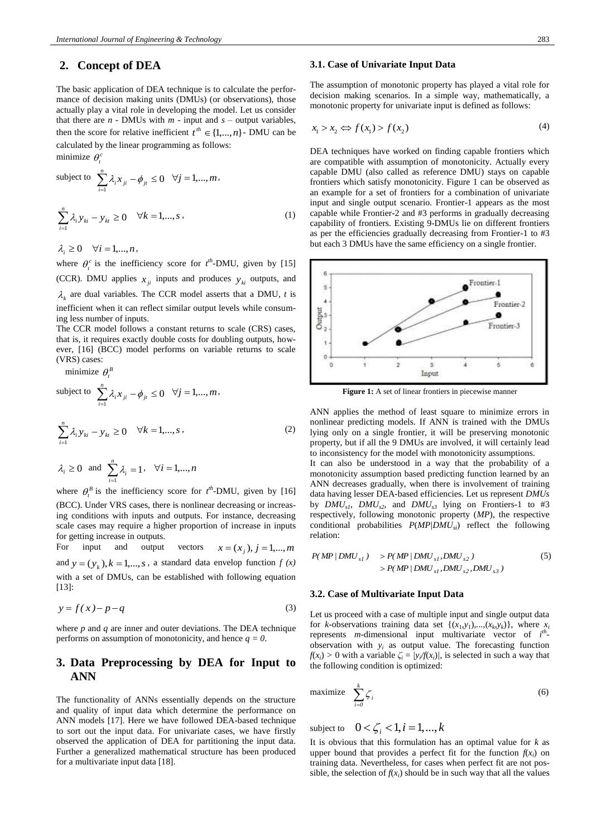# **2. Concept of DEA**

The basic application of DEA technique is to calculate the performance of decision making units (DMUs) (or observations), those actually play a vital role in developing the model. Let us consider that there are  $n$  - DMUs with  $m$  - input and  $s$  – output variables, then the score for relative inefficient  $t^{th} \in \{1,...,n\}$  - DMU can be calculated by the linear programming as follows:

minimize  $\theta_t^c$ 

subject to 
$$
\sum_{i=1}^{n} \lambda_i x_{ji} - \phi_{ji} \le 0 \quad \forall j = 1,..., m,
$$

$$
\sum_{i=1}^{n} \lambda_i y_{ki} - y_{ki} \ge 0 \quad \forall k = 1,..., s,
$$
 (1)

 $\lambda_i \geq 0 \quad \forall i = 1,...,n$ ,

where  $\theta_t^c$  is the inefficiency score for  $t^h$ -DMU, given by [15] (CCR). DMU applies  $x_{ji}$  inputs and produces  $y_{ki}$  outputs, and  $\lambda_k$  are dual variables. The CCR model asserts that a DMU, *t* is inefficient when it can reflect similar output levels while consuming less number of inputs. The CCR model follows a constant returns to scale (CRS) cases,

that is, it requires exactly double costs for doubling outputs, however, [16] (BCC) model performs on variable returns to scale (VRS) cases:

minimize  $\theta_t^B$ 

subject to 
$$
\sum_{i=1}^{n} \lambda_i x_{ji} - \phi_{jt} \le 0 \quad \forall j = 1,..., m,
$$

$$
\sum_{i=1}^{n} \lambda_i y_{ki} - y_{ki} \ge 0 \quad \forall k = 1,..., s,
$$
 (2)

$$
\lambda_i \ge 0
$$
 and  $\sum_{i=1}^n \lambda_i = 1$ ,  $\forall i = 1,...,n$ 

where  $\theta_t^B$  is the inefficiency score for  $t^h$ -DMU, given by [16] (BCC). Under VRS cases, there is nonlinear decreasing or increasing conditions with inputs and outputs. For instance, decreasing scale cases may require a higher proportion of increase in inputs for getting increase in outputs.

For input and output vectors  $x = (x_j), j = 1,...,m$ and  $y = (y_k)$ ,  $k = 1,..., s$ , a standard data envelop function  $f(x)$ with a set of DMUs, can be established with following equation [13]:

$$
y = f(x) - p - q \tag{3}
$$

where *p* and *q* are inner and outer deviations. The DEA technique performs on assumption of monotonicity, and hence *q = 0*.

# **3. Data Preprocessing by DEA for Input to ANN**

The functionality of ANNs essentially depends on the structure and quality of input data which determine the performance on ANN models [17]. Here we have followed DEA-based technique to sort out the input data. For univariate cases, we have firstly observed the application of DEA for partitioning the input data. Further a generalized mathematical structure has been produced for a multivariate input data [18].

### **3.1. Case of Univariate Input Data**

The assumption of monotonic property has played a vital role for decision making scenarios. In a simple way, mathematically, a monotonic property for univariate input is defined as follows:

$$
x_1 > x_2 \Leftrightarrow f(x_1) > f(x_2) \tag{4}
$$

DEA techniques have worked on finding capable frontiers which are compatible with assumption of monotonicity. Actually every capable DMU (also called as reference DMU) stays on capable frontiers which satisfy monotonicity. Figure 1 can be observed as an example for a set of frontiers for a combination of univariate input and single output scenario. Frontier-1 appears as the most capable while Frontier-2 and #3 performs in gradually decreasing capability of frontiers. Existing 9-DMUs lie on different frontiers as per the efficiencies gradually decreasing from Frontier-1 to #3 but each 3 DMUs have the same efficiency on a single frontier.



Figure 1: A set of linear frontiers in piecewise manner

ANN applies the method of least square to minimize errors in nonlinear predicting models. If ANN is trained with the DMUs lying only on a single frontier, it will be preserving monotonic property, but if all the 9 DMUs are involved, it will certainly lead to inconsistency for the model with monotonicity assumptions.

It can also be understood in a way that the probability of a monotonicity assumption based predicting function learned by an ANN decreases gradually, when there is involvement of training data having lesser DEA-based efficiencies. Let us represent *DMUs* by *DMUs1* , *DMUs2* , and *DMUs3* lying on Frontiers-1 to #3 respectively, following monotonic property (*MP*), the respective conditional probabilities *P*(*MP|DMUsi*) reflect the following relation:

$$
P(MP | DMU_{s1}) > P(MP | DMU_{s1}, DMU_{s2}) > P(MP | DMU_{s1}, DMU_{s2}, DMU_{s3})
$$
 (5)

### **3.2. Case of Multivariate Input Data**

Let us proceed with a case of multiple input and single output data for *k*-observations training data set  $\{(x_1, y_1), ..., (x_k, y_k)\}$ , where  $x_i$ represents *m*-dimensional input multivariate vector of *i th* observation with  $y_i$  as output value. The forecasting function *f*( $x$ <sup>*i*</sup>) > 0 with a variable  $\zeta$ <sup>*i*</sup> = /*y*<sub>*i*</sub>/*f*( $x$ *<sub><i>i*</sub>)</sub>/*f*( $x$ <sup>*i*</sup>)</sub>/*f*( $x$ <sup>*i*</sup>)</sub>/*f*( $x$ <sup>*i*</sup>)</sub>/*f*( $x$ <sup>*i*</sup>)/*f*(*s i*) is selected in such a way that the following condition is optimized:

$$
\text{maximize} \quad \sum_{i=0}^{k} \zeta_i \tag{6}
$$

subject to  $0 < \zeta_i < 1, i = 1, ..., k$ 

It is obvious that this formulation has an optimal value for *k* as upper bound that provides a perfect fit for the function  $f(x_i)$  on training data. Nevertheless, for cases when perfect fit are not possible, the selection of  $f(x_i)$  should be in such way that all the values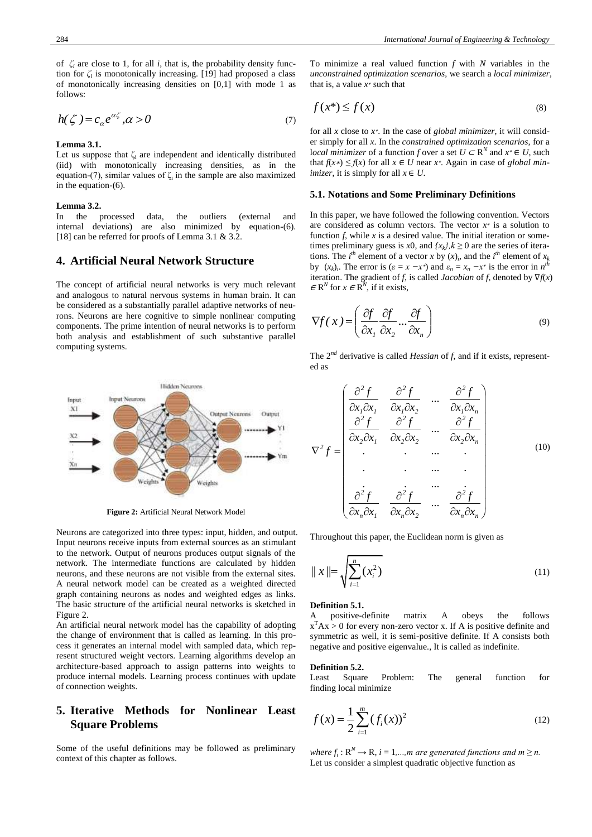of  $\zeta$ <sup>*i*</sup> are close to 1, for all *i*, that is, the probability density function for  $\zeta$ <sup>*i*</sup> is monotonically increasing. [19] had proposed a class of monotonically increasing densities on [0*,*1] with mode 1 as follows:

$$
h(\zeta) = c_{\alpha} e^{\alpha \zeta}, \alpha > 0 \tag{7}
$$

#### **Lemma 3.1.**

Let us suppose that  $\zeta_i$  are independent and identically distributed (iid) with monotonically increasing densities, as in the equation-(7), similar values of  $\zeta$  in the sample are also maximized in the equation-(6).

#### **Lemma 3.2.**

In the processed data, the outliers (external and internal deviations) are also minimized by equation-(6). [18] can be referred for proofs of Lemma 3.1 & 3.2.

### **4. Artificial Neural Network Structure**

The concept of artificial neural networks is very much relevant and analogous to natural nervous systems in human brain. It can be considered as a substantially parallel adaptive networks of neurons. Neurons are here cognitive to simple nonlinear computing components. The prime intention of neural networks is to perform both analysis and establishment of such substantive parallel computing systems.



**Figure 2:** Artificial Neural Network Model

Neurons are categorized into three types: input, hidden, and output. Input neurons receive inputs from external sources as an stimulant to the network. Output of neurons produces output signals of the network. The intermediate functions are calculated by hidden neurons, and these neurons are not visible from the external sites. A neural network model can be created as a weighted directed graph containing neurons as nodes and weighted edges as links. The basic structure of the artificial neural networks is sketched in Figure 2.

An artificial neural network model has the capability of adopting the change of environment that is called as learning. In this process it generates an internal model with sampled data, which represent structured weight vectors. Learning algorithms develop an architecture-based approach to assign patterns into weights to produce internal models. Learning process continues with update of connection weights.

# **5. Iterative Methods for Nonlinear Least Square Problems**

Some of the useful definitions may be followed as preliminary context of this chapter as follows.

To minimize a real valued function *f* with *N* variables in the *unconstrained optimization scenarios*, we search a *local minimizer*, that is, a value  $x^*$  such that

$$
f(x^*) \le f(x) \tag{8}
$$

for all *x* close to *x* ∗. In the case of *global minimizer*, it will consider simply for all *x*. In the *constrained optimization scenarios*, for a *local minimizer* of a function *f* over a set  $U \subset \mathbb{R}^N$  and  $x^* \in U$ , such that *f*(*x*∗) *≤ f*(*x*) for all *x* ∈ *U* near *x* ∗. Again in case of *global minimizer*, it is simply for all  $x \in U$ .

#### **5.1. Notations and Some Preliminary Definitions**

In this paper, we have followed the following convention. Vectors are considered as column vectors. The vector *x* ∗ is a solution to function *f*, while *x* is a desired value. The initial iteration or sometimes preliminary guess is *x*0, and  $\{x_k\}$ ,  $k \ge 0$  are the series of iterations. The *i*<sup>th</sup> element of a vector *x* by  $(x)$ <sub>*i*</sub>, and the *i*<sup>th</sup> element of  $x_k$ <br>by  $(x)$  The error is  $(c - x - x^*)$  and  $c - x - x^*$  is the error in  $x^{th}$ by  $(x_k)_i$ . The error is  $(\varepsilon = x - x^*)$  and  $\varepsilon_n = x_n - x^*$  is the error in *n* iteration. The gradient of *f*, is called *Jacobian* of *f*, denoted by ∇*f*(*x*)  $\in \mathbb{R}^N$  for  $x \in \mathbb{R}^N$ , if it exists,

$$
\nabla f(x) = \left(\frac{\partial f}{\partial x_1} \frac{\partial f}{\partial x_2} \dots \frac{\partial f}{\partial x_n}\right) \tag{9}
$$

The 2*nd* derivative is called *Hessian* of *f*, and if it exists, represented as

$$
\nabla^2 f = \begin{pmatrix}\n\frac{\partial^2 f}{\partial x_1 \partial x_1} & \frac{\partial^2 f}{\partial x_1 \partial x_2} & \dots & \frac{\partial^2 f}{\partial x_1 \partial x_n} \\
\frac{\partial^2 f}{\partial x_2 \partial x_1} & \frac{\partial^2 f}{\partial x_2 \partial x_2} & \dots & \frac{\partial^2 f}{\partial x_2 \partial x_n} \\
\vdots & \vdots & \dots & \vdots \\
\frac{\partial^2 f}{\partial x_n \partial x_1} & \frac{\partial^2 f}{\partial x_n \partial x_2} & \dots & \frac{\partial^2 f}{\partial x_n \partial x_n}\n\end{pmatrix}
$$
\n(10)

Throughout this paper, the Euclidean norm is given as

$$
||x|| = \sqrt{\sum_{i=1}^{n} (x_i^2)}
$$
\n(11)

### **Definition 5.1.**

A positive-definite matrix A obeys the follows  $x^T Ax > 0$  for every non-zero vector x. If A is positive definite and symmetric as well, it is semi-positive definite. If A consists both negative and positive eigenvalue., It is called as indefinite.

#### **Definition 5.2.**

Least Square Problem: The general function for finding local minimize

$$
f(x) = \frac{1}{2} \sum_{i=1}^{m} (f_i(x))^2
$$
 (12)

 $where f_i: \mathbb{R}^N \to \mathbb{R}, i = 1,...,m$  are generated functions and  $m \geq n$ . Let us consider a simplest quadratic objective function as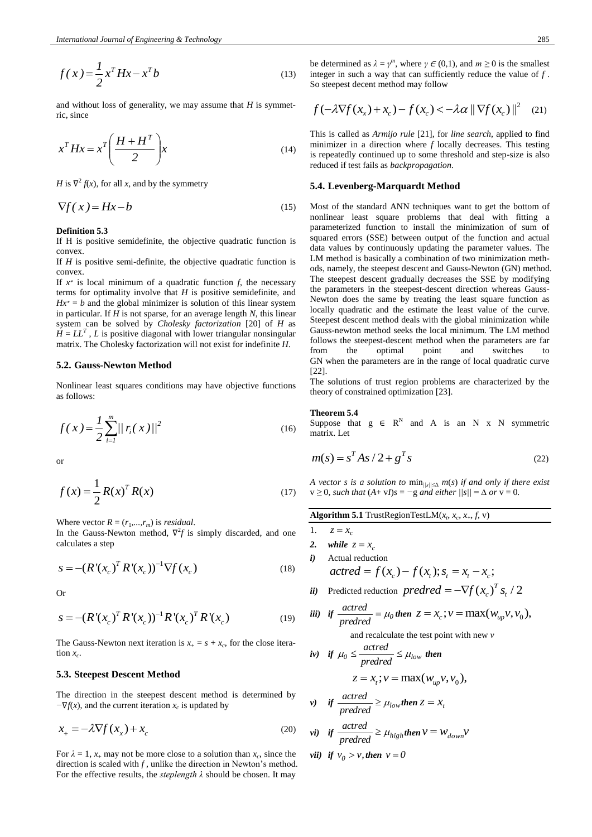$$
f(x) = \frac{1}{2}x^T H x - x^T b \tag{13}
$$

and without loss of generality, we may assume that *H* is symmetric, since

$$
x^T H x = x^T \left(\frac{H + H^T}{2}\right) x \tag{14}
$$

*H* is  $\nabla^2 f(x)$ , for all *x*, and by the symmetry

$$
\nabla f(x) = Hx - b \tag{15}
$$

#### **Definition 5.3**

If H is positive semidefinite, the objective quadratic function is convex.

If *H* is positive semi-definite, the objective quadratic function is convex.

If *x* ∗ is local minimum of a quadratic function *f*, the necessary terms for optimality involve that *H* is positive semidefinite, and  $Hx^* = b$  and the global minimizer is solution of this linear system in particular. If *H* is not sparse, for an average length *N*, this linear system can be solved by *Cholesky factorization* [20] of *H* as  $H = LL^T$ , *L* is positive diagonal with lower triangular nonsingular matrix. The Cholesky factorization will not exist for indefinite *H*.

### **5.2. Gauss-Newton Method**

Nonlinear least squares conditions may have objective functions as follows:

$$
f(x) = \frac{1}{2} \sum_{i=1}^{m} \frac{|r_i(x)|^2}{|r_i(x)|^2}
$$
 (16)

or

$$
f(x) = \frac{1}{2} R(x)^T R(x)
$$
 (17)

Where vector  $R = (r_1, \ldots, r_m)$  is *residual*.

In the Gauss-Newton method,  $\nabla^2 f$  is simply discarded, and one calculates a step

$$
s = -(R'(x_c)^T R'(x_c))^{-1} \nabla f(x_c)
$$
\n(18)

Or

$$
s = -(R'(x_c)^T R'(x_c))^{-1} R'(x_c)^T R'(x_c)
$$
\n(19)

The Gauss-Newton next iteration is  $x_+ = s + x_c$ , for the close iteration  $x_c$ .

#### **5.3. Steepest Descent Method**

The direction in the steepest descent method is determined by *−*∇*f*(*x*), and the current iteration *x<sup>c</sup>* is updated by

$$
x_{+} = -\lambda \nabla f(x_{x}) + x_{c}
$$
 (20)

For  $\lambda = 1$ ,  $x_{+}$  may not be more close to a solution than  $x_c$ , since the direction is scaled with *f* , unlike the direction in Newton's method. For the effective results, the *steplength λ* should be chosen. It may

be determined as  $\lambda = \gamma^m$ , where  $\gamma \in (0,1)$ , and  $m \ge 0$  is the smallest integer in such a way that can sufficiently reduce the value of *f* . So steepest decent method may follow

so steepest decent method may follow  
\n
$$
f(-\lambda \nabla f(x_x) + x_c) - f(x_c) < -\lambda \alpha ||\nabla f(x_c)||^2 \quad (21)
$$

This is called as *Armijo rule* [21], for *line search*, applied to find minimizer in a direction where *f* locally decreases. This testing is repeatedly continued up to some threshold and step-size is also reduced if test fails as *backpropagation*.

#### **5.4. Levenberg-Marquardt Method**

Most of the standard ANN techniques want to get the bottom of nonlinear least square problems that deal with fitting a parameterized function to install the minimization of sum of squared errors (SSE) between output of the function and actual data values by continuously updating the parameter values. The LM method is basically a combination of two minimization methods, namely, the steepest descent and Gauss-Newton (GN) method. The steepest descent gradually decreases the SSE by modifying the parameters in the steepest-descent direction whereas Gauss-Newton does the same by treating the least square function as locally quadratic and the estimate the least value of the curve. Steepest descent method deals with the global minimization while Gauss-newton method seeks the local minimum. The LM method follows the steepest-descent method when the parameters are far from the optimal point and switches to GN when the parameters are in the range of local quadratic curve [22].

The solutions of trust region problems are characterized by the theory of constrained optimization [23].

#### **Theorem 5.4**

Suppose that  $g \in R^N$  and A is an N x N symmetric matrix. Let

$$
m(s) = sT As / 2 + gT s
$$
 (22)

*A vector s is a solution to* min*||s||≤*<sup>∆</sup> *m*(*s*) *if and only if there exist*  $v \geq 0$ *, such that*  $(A + vI)s = -g$  *and either*  $||s|| = \Delta$  *or*  $v = 0$ *.* 

**Algorithm 5.1** TrustRegionTestLM( $x_t$ ,  $x_c$ ,  $x_+, f, v$ )

- 1.  $z = x_c$
- 2. *while*  $z = x_c$
- *i)* Actual reduction  $\textit{actred} = f(x_c) - f(x_t); s_t = x_t - x_c;$

$$
ii) Predicted reduction predred = -\nabla f(xc)T st / 2
$$

iii) if 
$$
\frac{actred}{predred} = \mu_0
$$
 then  $z = x_c$ ;  $v = \max(w_{up}v, v_0)$ ,  
and recalculate the test point with new v.

and recalculate the test point with new *v actred*

iv) if 
$$
\mu_0 \le \frac{\text{atrical}}{\text{predicted}} \le \mu_{\text{low}}
$$
 then  

$$
z = x_t; v = \max(w_{up}v, v_0),
$$

v) if 
$$
\frac{\text{actred}}{\text{predred}} \ge \mu_{\text{low}} \text{ then } z = x_t
$$

$$
vi) \quad if \quad \frac{actred}{predred} \ge \mu_{high} then \quad v = w_{down}v
$$

$$
vii) \text{ if } v_0 > v, \text{ then } v = 0
$$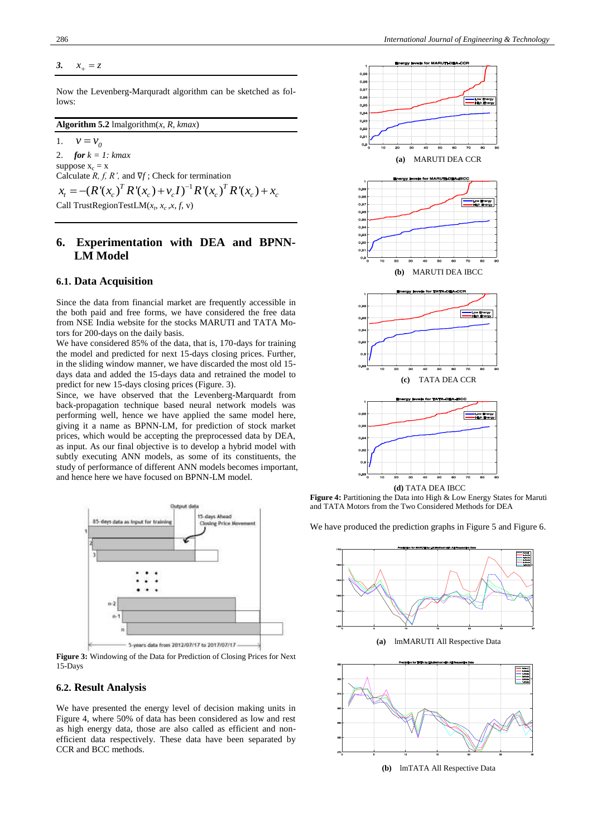*3.*  $x_{\perp} = z$ 

Now the Levenberg-Marquradt algorithm can be sketched as follows:

### **Algorithm 5.2** lmalgorithm(*x, R, kmax*)

1.  $v = v_0$ 2. *for k = 1: kmax* suppose  $x_c = x$ Calculate *R, f, R',* and ∇*f* ; Check for termination 1 Examples  $\mathbf{x}_c = \mathbf{x}$ <br>Calculate  $R, f, R'$ , and  $\nabla f$ ; Check for termination<br> $x_t = -(R'(\mathbf{x}_c)^T R'(\mathbf{x}_c) + \nu_c I)^{-1} R'(\mathbf{x}_c)^T R'(\mathbf{x}_c) + \mathbf{x}_c$ 

Call TrustRegionTestLM( $x_t$ ,  $x_c$ , $x$ ,  $f$ ,  $v$ )

# **6. Experimentation with DEA and BPNN-LM Model**

### **6.1. Data Acquisition**

Since the data from financial market are frequently accessible in the both paid and free forms, we have considered the free data from NSE India website for the stocks MARUTI and TATA Motors for 200-days on the daily basis.

We have considered 85% of the data, that is, 170-days for training the model and predicted for next 15-days closing prices. Further, in the sliding window manner, we have discarded the most old 15 days data and added the 15-days data and retrained the model to predict for new 15-days closing prices (Figure. 3).

Since, we have observed that the Levenberg-Marquardt from back-propagation technique based neural network models was performing well, hence we have applied the same model here, giving it a name as BPNN-LM, for prediction of stock market prices, which would be accepting the preprocessed data by DEA, as input. As our final objective is to develop a hybrid model with subtly executing ANN models, as some of its constituents, the study of performance of different ANN models becomes important, and hence here we have focused on BPNN-LM model.



**Figure 3:** Windowing of the Data for Prediction of Closing Prices for Next 15-Days

### **6.2. Result Analysis**

We have presented the energy level of decision making units in Figure 4, where 50% of data has been considered as low and rest as high energy data, those are also called as efficient and nonefficient data respectively. These data have been separated by CCR and BCC methods.



Figure 4: Partitioning the Data into High & Low Energy States for Maruti and TATA Motors from the Two Considered Methods for DEA

We have produced the prediction graphs in Figure 5 and Figure 6.



**(a)** lmMARUTI All Respective Data



**(b)** lmTATA All Respective Data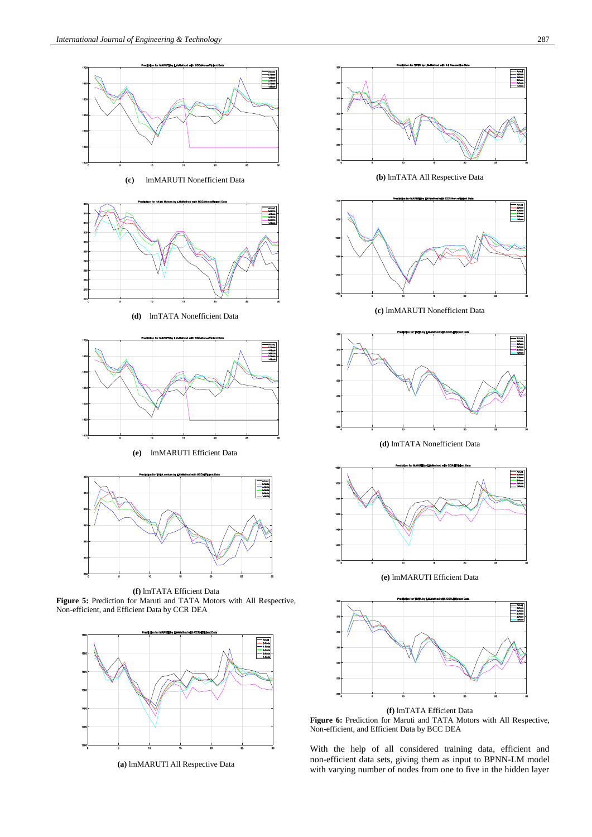

**(c)** lmMARUTI Nonefficient Data



**(d)** lmTATA Nonefficient Data







**(f)** lmTATA Efficient Data **Figure 5:** Prediction for Maruti and TATA Motors with All Respective, Non-efficient, and Efficient Data by CCR DEA



**(a)** lmMARUTI All Respective Data



**Figure 6:** Prediction for Maruti and TATA Motors with All Respective, Non-efficient, and Efficient Data by BCC DEA

With the help of all considered training data, efficient and non-efficient data sets, giving them as input to BPNN-LM model with varying number of nodes from one to five in the hidden layer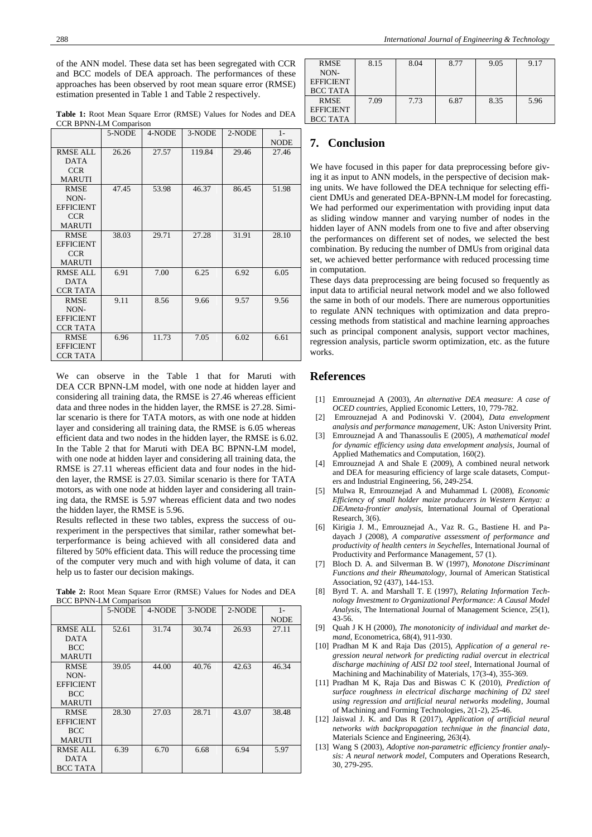of the ANN model. These data set has been segregated with CCR and BCC models of DEA approach. The performances of these approaches has been observed by root mean square error (RMSE) estimation presented in Table 1 and Table 2 respectively.

**Table 1:** Root Mean Square Error (RMSE) Values for Nodes and DEA CCR BPNN-LM Comparison

|                  | 5-NODE | 4-NODE | 3-NODE | 2-NODE | $1 -$       |
|------------------|--------|--------|--------|--------|-------------|
|                  |        |        |        |        | <b>NODE</b> |
| <b>RMSE ALL</b>  | 26.26  | 27.57  | 119.84 | 29.46  | 27.46       |
| <b>DATA</b>      |        |        |        |        |             |
| <b>CCR</b>       |        |        |        |        |             |
| <b>MARUTI</b>    |        |        |        |        |             |
| <b>RMSE</b>      | 47.45  | 53.98  | 46.37  | 86.45  | 51.98       |
| NON-             |        |        |        |        |             |
| <b>EFFICIENT</b> |        |        |        |        |             |
| <b>CCR</b>       |        |        |        |        |             |
| <b>MARUTI</b>    |        |        |        |        |             |
| <b>RMSE</b>      | 38.03  | 29.71  | 27.28  | 31.91  | 28.10       |
| <b>EFFICIENT</b> |        |        |        |        |             |
| <b>CCR</b>       |        |        |        |        |             |
| <b>MARUTI</b>    |        |        |        |        |             |
| RMSE ALL         | 6.91   | 7.00   | 6.25   | 6.92   | 6.05        |
| <b>DATA</b>      |        |        |        |        |             |
| <b>CCR TATA</b>  |        |        |        |        |             |
| RMSE             | 9.11   | 8.56   | 9.66   | 9.57   | 9.56        |
| NON-             |        |        |        |        |             |
| <b>EFFICIENT</b> |        |        |        |        |             |
| <b>CCR TATA</b>  |        |        |        |        |             |
| <b>RMSE</b>      | 6.96   | 11.73  | 7.05   | 6.02   | 6.61        |
| <b>EFFICIENT</b> |        |        |        |        |             |
| <b>CCR TATA</b>  |        |        |        |        |             |

We can observe in the Table 1 that for Maruti with DEA CCR BPNN-LM model, with one node at hidden layer and considering all training data, the RMSE is 27.46 whereas efficient data and three nodes in the hidden layer, the RMSE is 27.28. Similar scenario is there for TATA motors, as with one node at hidden layer and considering all training data, the RMSE is 6.05 whereas efficient data and two nodes in the hidden layer, the RMSE is 6.02. In the Table 2 that for Maruti with DEA BC BPNN-LM model, with one node at hidden layer and considering all training data, the RMSE is 27.11 whereas efficient data and four nodes in the hidden layer, the RMSE is 27.03. Similar scenario is there for TATA motors, as with one node at hidden layer and considering all training data, the RMSE is 5.97 whereas efficient data and two nodes the hidden layer, the RMSE is 5.96.

Results reflected in these two tables, express the success of ourexperiment in the perspectives that similar, rather somewhat betterperformance is being achieved with all considered data and filtered by 50% efficient data. This will reduce the processing time of the computer very much and with high volume of data, it can help us to faster our decision makings.

|                  | 5-NODE | 4-NODE | 3-NODE | 2-NODE | $1-$        |
|------------------|--------|--------|--------|--------|-------------|
|                  |        |        |        |        | <b>NODE</b> |
| RMSE ALL         | 52.61  | 31.74  | 30.74  | 26.93  | 27.11       |
| <b>DATA</b>      |        |        |        |        |             |
| <b>BCC</b>       |        |        |        |        |             |
| <b>MARUTI</b>    |        |        |        |        |             |
| <b>RMSE</b>      | 39.05  | 44.00  | 40.76  | 42.63  | 46.34       |
| NON-             |        |        |        |        |             |
| <b>EFFICIENT</b> |        |        |        |        |             |
| <b>BCC</b>       |        |        |        |        |             |
| <b>MARUTI</b>    |        |        |        |        |             |
| <b>RMSE</b>      | 28.30  | 27.03  | 28.71  | 43.07  | 38.48       |
| <b>EFFICIENT</b> |        |        |        |        |             |
| <b>BCC</b>       |        |        |        |        |             |
| <b>MARUTI</b>    |        |        |        |        |             |
| <b>RMSE ALL</b>  | 6.39   | 6.70   | 6.68   | 6.94   | 5.97        |
| <b>DATA</b>      |        |        |        |        |             |
| <b>BCC TATA</b>  |        |        |        |        |             |

**Table 2:** Root Mean Square Error (RMSE) Values for Nodes and DEA BCC BPNN-LM Comparison

| <b>RMSE</b><br>NON-<br><b>EFFICIENT</b><br><b>BCC TATA</b> | 8.15 | 8.04 | 8.77 | 9.05 | 9.17 |
|------------------------------------------------------------|------|------|------|------|------|
| <b>RMSE</b><br><b>EFFICIENT</b><br><b>BCC TATA</b>         | 7.09 | 7.73 | 6.87 | 8.35 | 5.96 |

# **7. Conclusion**

We have focused in this paper for data preprocessing before giving it as input to ANN models, in the perspective of decision making units. We have followed the DEA technique for selecting efficient DMUs and generated DEA-BPNN-LM model for forecasting. We had performed our experimentation with providing input data as sliding window manner and varying number of nodes in the hidden layer of ANN models from one to five and after observing the performances on different set of nodes, we selected the best combination. By reducing the number of DMUs from original data set, we achieved better performance with reduced processing time in computation.

These days data preprocessing are being focused so frequently as input data to artificial neural network model and we also followed the same in both of our models. There are numerous opportunities to regulate ANN techniques with optimization and data preprocessing methods from statistical and machine learning approaches such as principal component analysis, support vector machines, regression analysis, particle sworm optimization, etc. as the future works.

# **References**

- [1] Emrouznejad A (2003), *An alternative DEA measure: A case of OCED countries*, Applied Economic Letters, 10, 779-782.
- [2] Emrouznejad A and Podinovski V. (2004), *Data envelopment analysis and performance management*, UK: Aston University Print.
- [3] Emrouznejad A and Thanassoulis E (2005), *A mathematical model for dynamic efficiency using data envelopment analysis*, Journal of Applied Mathematics and Computation, 160(2).
- [4] Emrouznejad A and Shale E (2009), A combined neural network and DEA for measuring efficiency of large scale datasets, Computers and Industrial Engineering, 56, 249-254.
- [5] Mulwa R, Emrouznejad A and Muhammad L (2008), *Economic Efficiency of small holder maize producers in Western Kenya: a DEAmeta-frontier analysis*, International Journal of Operational Research, 3(6).
- [6] Kirigia J. M., Emrouznejad A., Vaz R. G., Bastiene H. and Padayach J (2008), *A comparative assessment of performance and productivity of health centers in Seychelles*, International Journal of Productivity and Performance Management, 57 (1).
- [7] Bloch D. A. and Silverman B. W (1997), *Monotone Discriminant Functions and their Rheumatology*, Journal of American Statistical Association, 92 (437), 144-153.
- [8] Byrd T. A. and Marshall T. E (1997), *Relating Information Technology Investment to Organizational Performance: A Causal Model Analysis*, The International Journal of Management Science, 25(1), 43-56.
- [9] Quah J K H (2000), *The monotonicity of individual and market demand*, Econometrica, 68(4), 911-930.
- [10] Pradhan M K and Raja Das (2015), *Application of a general regression neural network for predicting radial overcut in electrical discharge machining of AISI D2 tool steel*, International Journal of Machining and Machinability of Materials, 17(3-4), 355-369.
- [11] Pradhan M K, Raja Das and Biswas C K (2010), *Prediction of surface roughness in electrical discharge machining of D2 steel using regression and artificial neural networks modeling*, Journal of Machining and Forming Technologies, 2(1-2), 25-46.
- [12] Jaiswal J. K. and Das R (2017), *Application of artificial neural networks with backpropagation technique in the financial data*, Materials Science and Engineering, 263(4).
- [13] Wang S (2003), *Adoptive non-parametric efficiency frontier analysis: A neural network model*, Computers and Operations Research, 30, 279-295.